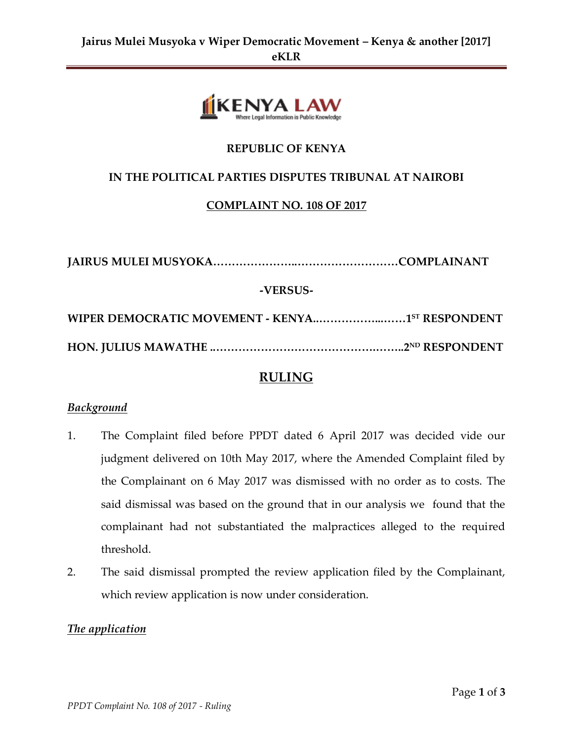

## **REPUBLIC OF KENYA**

## **IN THE POLITICAL PARTIES DISPUTES TRIBUNAL AT NAIROBI**

## **COMPLAINT NO. 108 OF 2017**

**JAIRUS MULEI MUSYOKA…………………..………………………COMPLAINANT -VERSUS-WIPER DEMOCRATIC MOVEMENT - KENYA..……………...……1 ST RESPONDENT HON. JULIUS MAWATHE ..…………………………………….……..2ND RESPONDENT** 

# **RULING**

## *Background*

- 1. The Complaint filed before PPDT dated 6 April 2017 was decided vide our judgment delivered on 10th May 2017, where the Amended Complaint filed by the Complainant on 6 May 2017 was dismissed with no order as to costs. The said dismissal was based on the ground that in our analysis we found that the complainant had not substantiated the malpractices alleged to the required threshold.
- 2. The said dismissal prompted the review application filed by the Complainant, which review application is now under consideration.

## *The application*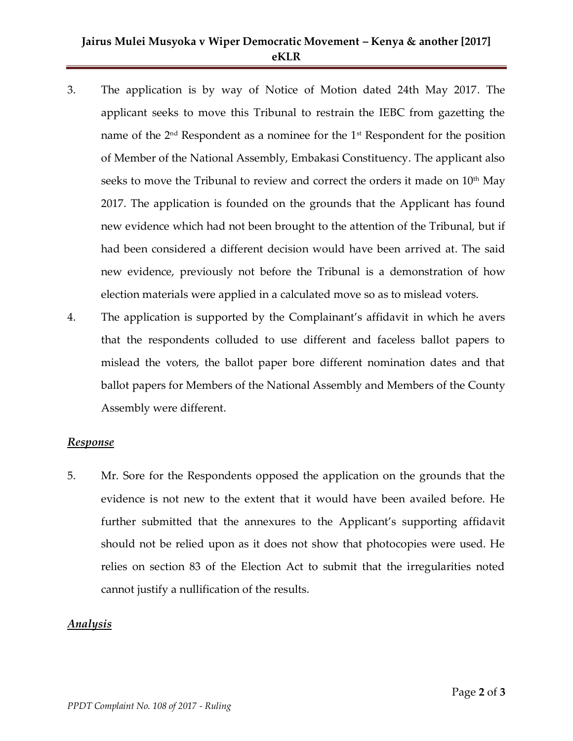## **Jairus Mulei Musyoka v Wiper Democratic Movement – Kenya & another [2017] eKLR**

- 3. The application is by way of Notice of Motion dated 24th May 2017. The applicant seeks to move this Tribunal to restrain the IEBC from gazetting the name of the  $2<sup>nd</sup>$  Respondent as a nominee for the  $1<sup>st</sup>$  Respondent for the position of Member of the National Assembly, Embakasi Constituency. The applicant also seeks to move the Tribunal to review and correct the orders it made on 10<sup>th</sup> May 2017. The application is founded on the grounds that the Applicant has found new evidence which had not been brought to the attention of the Tribunal, but if had been considered a different decision would have been arrived at. The said new evidence, previously not before the Tribunal is a demonstration of how election materials were applied in a calculated move so as to mislead voters.
- 4. The application is supported by the Complainant's affidavit in which he avers that the respondents colluded to use different and faceless ballot papers to mislead the voters, the ballot paper bore different nomination dates and that ballot papers for Members of the National Assembly and Members of the County Assembly were different.

#### *Response*

5. Mr. Sore for the Respondents opposed the application on the grounds that the evidence is not new to the extent that it would have been availed before. He further submitted that the annexures to the Applicant's supporting affidavit should not be relied upon as it does not show that photocopies were used. He relies on section 83 of the Election Act to submit that the irregularities noted cannot justify a nullification of the results.

#### *Analysis*